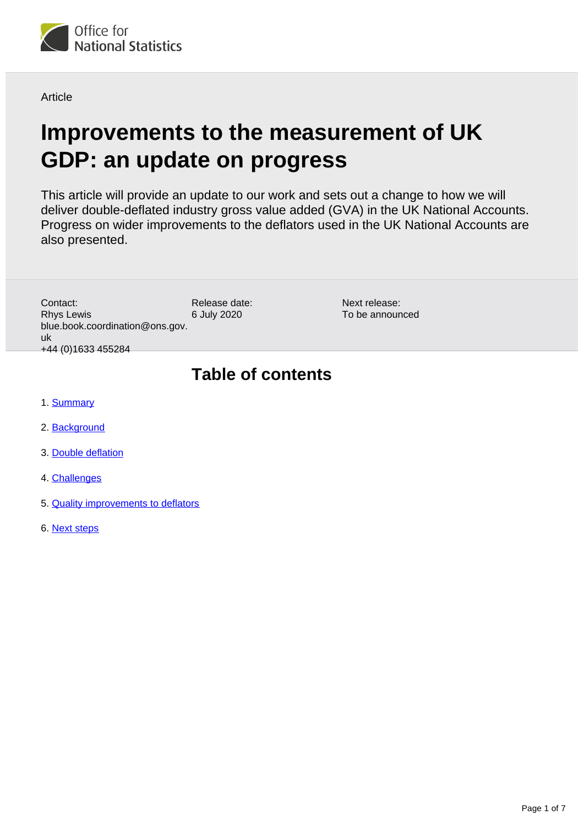

**Article** 

# **Improvements to the measurement of UK GDP: an update on progress**

This article will provide an update to our work and sets out a change to how we will deliver double-deflated industry gross value added (GVA) in the UK National Accounts. Progress on wider improvements to the deflators used in the UK National Accounts are also presented.

> Next release: To be announced

Release date: 6 July 2020 Contact: Rhys Lewis blue.book.coordination@ons.gov. uk +44 (0)1633 455284

# **Table of contents**

- 1. [Summary](#page-1-0)
- 2. [Background](#page-1-1)
- 3. [Double deflation](#page-1-2)
- 4. [Challenges](#page-2-0)
- 5. [Quality improvements to deflators](#page-3-0)
- 6. [Next steps](#page-6-0)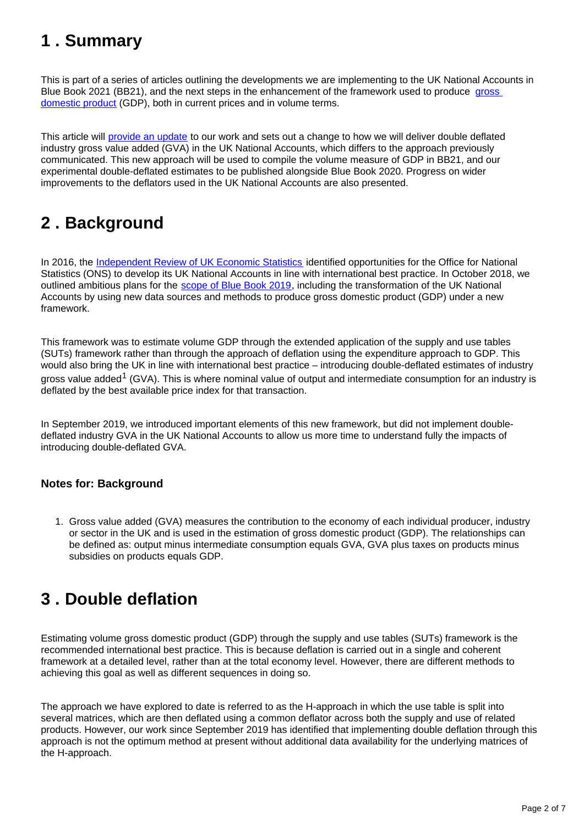## <span id="page-1-0"></span>**1 . Summary**

This is part of a series of articles outlining the developments we are implementing to the UK National Accounts in Blue Book 2021 (BB21), and the next steps in the enhancement of the framework used to produce gross [domestic product](https://www.ons.gov.uk/economy/grossdomesticproductgdp/methodologies/grossdomesticproductgdpqmi) (GDP), both in current prices and in volume terms.

This article will [provide an update](https://www.ons.gov.uk/releases/anewframeworkforukgdpprogresschallengesandthefuture) to our work and sets out a change to how we will deliver double deflated industry gross value added (GVA) in the UK National Accounts, which differs to the approach previously communicated. This new approach will be used to compile the volume measure of GDP in BB21, and our experimental double-deflated estimates to be published alongside Blue Book 2020. Progress on wider improvements to the deflators used in the UK National Accounts are also presented.

## <span id="page-1-1"></span>**2 . Background**

In 2016, the [Independent Review of UK Economic Statistics](https://www.gov.uk/government/publications/independent-review-of-uk-economic-statistics-final-report) identified opportunities for the Office for National Statistics (ONS) to develop its UK National Accounts in line with international best practice. In October 2018, we outlined ambitious plans for the [scope of Blue Book 2019](https://www.ons.gov.uk/economy/nationalaccounts/uksectoraccounts/articles/nationalaccountsarticles/changesforbluebookandpinkbook2019), including the transformation of the UK National Accounts by using new data sources and methods to produce gross domestic product (GDP) under a new framework.

This framework was to estimate volume GDP through the extended application of the supply and use tables (SUTs) framework rather than through the approach of deflation using the expenditure approach to GDP. This would also bring the UK in line with international best practice – introducing double-deflated estimates of industry gross value added<sup>1</sup> (GVA). This is where nominal value of output and intermediate consumption for an industry is deflated by the best available price index for that transaction.

In September 2019, we introduced important elements of this new framework, but did not implement doubledeflated industry GVA in the UK National Accounts to allow us more time to understand fully the impacts of introducing double-deflated GVA.

### **Notes for: Background**

1. Gross value added (GVA) measures the contribution to the economy of each individual producer, industry or sector in the UK and is used in the estimation of gross domestic product (GDP). The relationships can be defined as: output minus intermediate consumption equals GVA, GVA plus taxes on products minus subsidies on products equals GDP.

## <span id="page-1-2"></span>**3 . Double deflation**

Estimating volume gross domestic product (GDP) through the supply and use tables (SUTs) framework is the recommended international best practice. This is because deflation is carried out in a single and coherent framework at a detailed level, rather than at the total economy level. However, there are different methods to achieving this goal as well as different sequences in doing so.

The approach we have explored to date is referred to as the H-approach in which the use table is split into several matrices, which are then deflated using a common deflator across both the supply and use of related products. However, our work since September 2019 has identified that implementing double deflation through this approach is not the optimum method at present without additional data availability for the underlying matrices of the H-approach.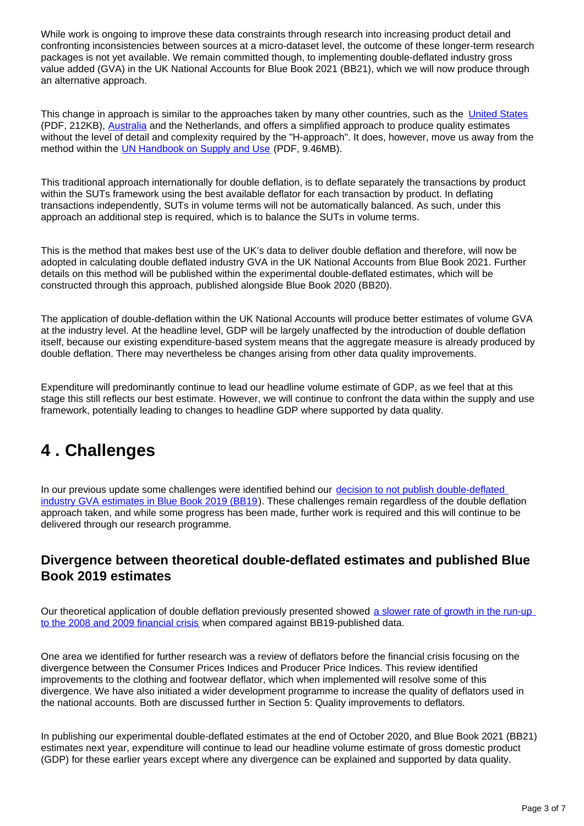While work is ongoing to improve these data constraints through research into increasing product detail and confronting inconsistencies between sources at a micro-dataset level, the outcome of these longer-term research packages is not yet available. We remain committed though, to implementing double-deflated industry gross value added (GVA) in the UK National Accounts for Blue Book 2021 (BB21), which we will now produce through an alternative approach.

This change in approach is similar to the approaches taken by many other countries, such as the [United States](https://apps.bea.gov/scb/pdf/2004/03March/0304IndustryAcctsV3.pdf) (PDF, 212KB), [Australia](https://www.abs.gov.au/ausstats/abs@.nsf/mf/5216.0) and the Netherlands, and offers a simplified approach to produce quality estimates without the level of detail and complexity required by the "H-approach". It does, however, move us away from the method within the [UN Handbook on Supply and Use](https://unstats.un.org/unsd/nationalaccount/docs/SUT_IOT_HB_wc.pdf) (PDF, 9.46MB).

This traditional approach internationally for double deflation, is to deflate separately the transactions by product within the SUTs framework using the best available deflator for each transaction by product. In deflating transactions independently, SUTs in volume terms will not be automatically balanced. As such, under this approach an additional step is required, which is to balance the SUTs in volume terms.

This is the method that makes best use of the UK's data to deliver double deflation and therefore, will now be adopted in calculating double deflated industry GVA in the UK National Accounts from Blue Book 2021. Further details on this method will be published within the experimental double-deflated estimates, which will be constructed through this approach, published alongside Blue Book 2020 (BB20).

The application of double-deflation within the UK National Accounts will produce better estimates of volume GVA at the industry level. At the headline level, GDP will be largely unaffected by the introduction of double deflation itself, because our existing expenditure-based system means that the aggregate measure is already produced by double deflation. There may nevertheless be changes arising from other data quality improvements.

Expenditure will predominantly continue to lead our headline volume estimate of GDP, as we feel that at this stage this still reflects our best estimate. However, we will continue to confront the data within the supply and use framework, potentially leading to changes to headline GDP where supported by data quality.

## <span id="page-2-0"></span>**4 . Challenges**

In our previous update some challenges were identified behind our [decision to not publish double-deflated](https://www.ons.gov.uk/releases/anewframeworkforukgdpprogresschallengesandthefuture)  [industry GVA estimates in Blue Book 2019 \(BB19\)](https://www.ons.gov.uk/releases/anewframeworkforukgdpprogresschallengesandthefuture). These challenges remain regardless of the double deflation approach taken, and while some progress has been made, further work is required and this will continue to be delivered through our research programme.

### **Divergence between theoretical double-deflated estimates and published Blue Book 2019 estimates**

Our theoretical application of double deflation previously presented showed [a slower rate of growth in the run-up](https://www.ons.gov.uk/releases/anewframeworkforukgdpprogresschallengesandthefuture)  [to the 2008 and 2009 financial crisis](https://www.ons.gov.uk/releases/anewframeworkforukgdpprogresschallengesandthefuture) when compared against BB19-published data.

One area we identified for further research was a review of deflators before the financial crisis focusing on the divergence between the Consumer Prices Indices and Producer Price Indices. This review identified improvements to the clothing and footwear deflator, which when implemented will resolve some of this divergence. We have also initiated a wider development programme to increase the quality of deflators used in the national accounts. Both are discussed further in Section 5: Quality improvements to deflators.

In publishing our experimental double-deflated estimates at the end of October 2020, and Blue Book 2021 (BB21) estimates next year, expenditure will continue to lead our headline volume estimate of gross domestic product (GDP) for these earlier years except where any divergence can be explained and supported by data quality.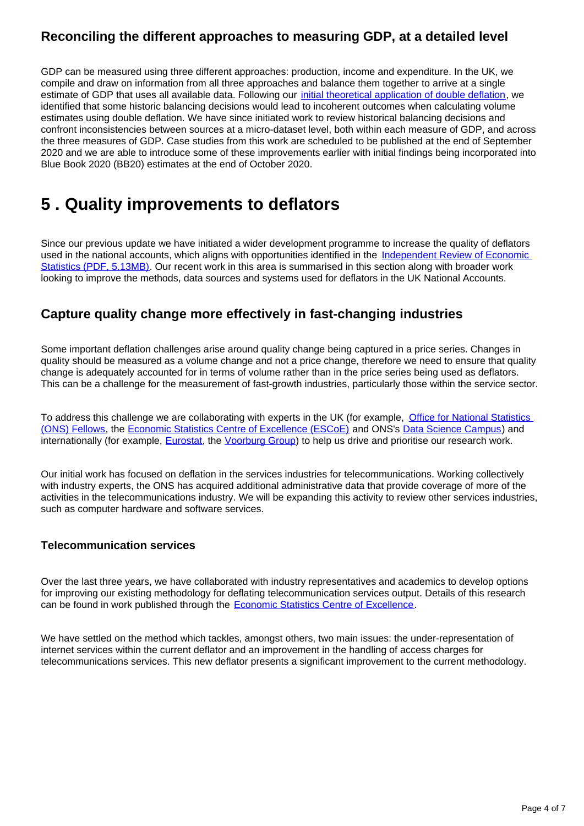### **Reconciling the different approaches to measuring GDP, at a detailed level**

GDP can be measured using three different approaches: production, income and expenditure. In the UK, we compile and draw on information from all three approaches and balance them together to arrive at a single estimate of GDP that uses all available data. Following our *[initial theoretical application of double deflation](https://www.ons.gov.uk/releases/anewframeworkforukgdpprogresschallengesandthefuture)*, we identified that some historic balancing decisions would lead to incoherent outcomes when calculating volume estimates using double deflation. We have since initiated work to review historical balancing decisions and confront inconsistencies between sources at a micro-dataset level, both within each measure of GDP, and across the three measures of GDP. Case studies from this work are scheduled to be published at the end of September 2020 and we are able to introduce some of these improvements earlier with initial findings being incorporated into Blue Book 2020 (BB20) estimates at the end of October 2020.

## <span id="page-3-0"></span>**5 . Quality improvements to deflators**

Since our previous update we have initiated a wider development programme to increase the quality of deflators used in the national accounts, which aligns with opportunities identified in the Independent Review of Economic [Statistics \(PDF, 5.13MB\)](https://assets.publishing.service.gov.uk/government/uploads/system/uploads/attachment_data/file/507081/2904936_Bean_Review_Web_Accessible.pdf). Our recent work in this area is summarised in this section along with broader work looking to improve the methods, data sources and systems used for deflators in the UK National Accounts.

### **Capture quality change more effectively in fast-changing industries**

Some important deflation challenges arise around quality change being captured in a price series. Changes in quality should be measured as a volume change and not a price change, therefore we need to ensure that quality change is adequately accounted for in terms of volume rather than in the price series being used as deflators. This can be a challenge for the measurement of fast-growth industries, particularly those within the service sector.

To address this challenge we are collaborating with experts in the UK (for example, Office for National Statistics [\(ONS\) Fellows,](https://www.ons.gov.uk/aboutus/whatwedo/programmesandprojects/economicstatisticstransformation/engagingwitheconomicstatistics/expertcollaboration) the [Economic Statistics Centre of Excellence \(ESCoE\)](https://www.escoe.ac.uk/) and ONS's [Data Science Campus\)](https://datasciencecampus.ons.gov.uk/) and internationally (for example, [Eurostat](https://ec.europa.eu/eurostat), the [Voorburg Group\)](https://www.voorburggroup.org/) to help us drive and prioritise our research work.

Our initial work has focused on deflation in the services industries for telecommunications. Working collectively with industry experts, the ONS has acquired additional administrative data that provide coverage of more of the activities in the telecommunications industry. We will be expanding this activity to review other services industries, such as computer hardware and software services.

#### **Telecommunication services**

Over the last three years, we have collaborated with industry representatives and academics to develop options for improving our existing methodology for deflating telecommunication services output. Details of this research can be found in work published through the [Economic Statistics Centre of Excellence](https://www.escoe.ac.uk/research/).

We have settled on the method which tackles, amongst others, two main issues: the under-representation of internet services within the current deflator and an improvement in the handling of access charges for telecommunications services. This new deflator presents a significant improvement to the current methodology.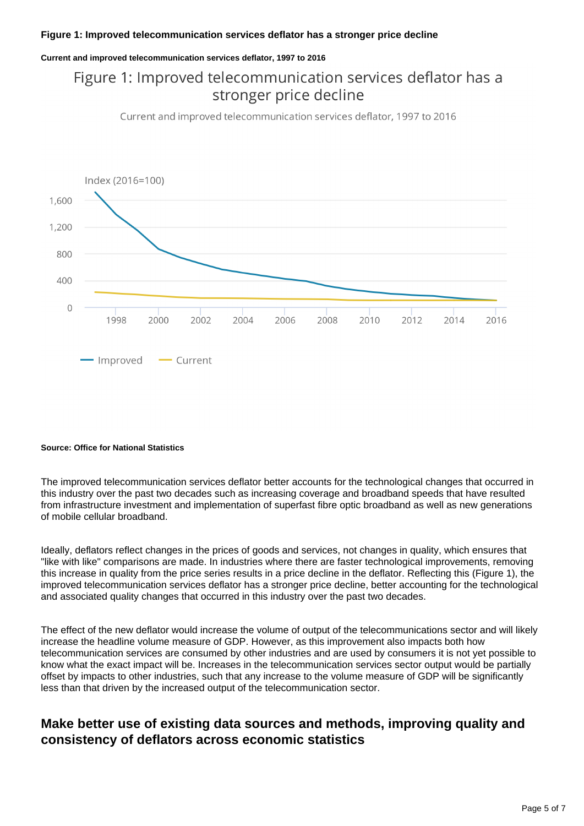#### **Figure 1: Improved telecommunication services deflator has a stronger price decline**

#### **Current and improved telecommunication services deflator, 1997 to 2016**

## Figure 1: Improved telecommunication services deflator has a stronger price decline

Current and improved telecommunication services deflator, 1997 to 2016



#### **Source: Office for National Statistics**

The improved telecommunication services deflator better accounts for the technological changes that occurred in this industry over the past two decades such as increasing coverage and broadband speeds that have resulted from infrastructure investment and implementation of superfast fibre optic broadband as well as new generations of mobile cellular broadband.

Ideally, deflators reflect changes in the prices of goods and services, not changes in quality, which ensures that "like with like" comparisons are made. In industries where there are faster technological improvements, removing this increase in quality from the price series results in a price decline in the deflator. Reflecting this (Figure 1), the improved telecommunication services deflator has a stronger price decline, better accounting for the technological and associated quality changes that occurred in this industry over the past two decades.

The effect of the new deflator would increase the volume of output of the telecommunications sector and will likely increase the headline volume measure of GDP. However, as this improvement also impacts both how telecommunication services are consumed by other industries and are used by consumers it is not yet possible to know what the exact impact will be. Increases in the telecommunication services sector output would be partially offset by impacts to other industries, such that any increase to the volume measure of GDP will be significantly less than that driven by the increased output of the telecommunication sector.

### **Make better use of existing data sources and methods, improving quality and consistency of deflators across economic statistics**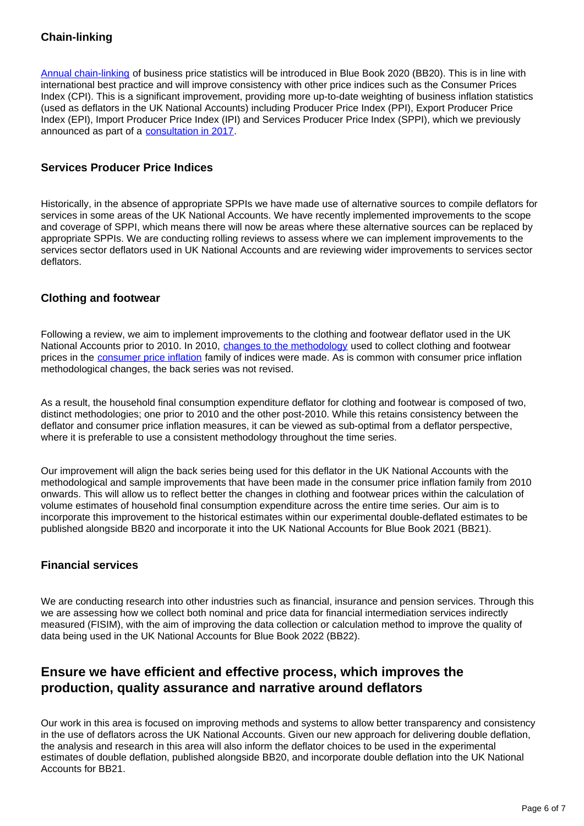### **Chain-linking**

[Annual chain-linking](https://www.ons.gov.uk/releases/chainlinkinginbusinessprices) of business price statistics will be introduced in Blue Book 2020 (BB20). This is in line with international best practice and will improve consistency with other price indices such as the Consumer Prices Index (CPI). This is a significant improvement, providing more up-to-date weighting of business inflation statistics (used as deflators in the UK National Accounts) including Producer Price Index (PPI), Export Producer Price Index (EPI), Import Producer Price Index (IPI) and Services Producer Price Index (SPPI), which we previously announced as part of a [consultation in 2017.](https://consultations.ons.gov.uk/prices/user-consultation-business-prices-june-2017/)

#### **Services Producer Price Indices**

Historically, in the absence of appropriate SPPIs we have made use of alternative sources to compile deflators for services in some areas of the UK National Accounts. We have recently implemented improvements to the scope and coverage of SPPI, which means there will now be areas where these alternative sources can be replaced by appropriate SPPIs. We are conducting rolling reviews to assess where we can implement improvements to the services sector deflators used in UK National Accounts and are reviewing wider improvements to services sector deflators.

#### **Clothing and footwear**

Following a review, we aim to implement improvements to the clothing and footwear deflator used in the UK National Accounts prior to 2010. In 2010, [changes to the methodology](https://webarchive.nationalarchives.gov.uk/20160106041638/http:/www.ons.gov.uk/ons/guide-method/user-guidance/prices/cpi-and-rpi/index.html) used to collect clothing and footwear prices in the [consumer price inflation](https://www.ons.gov.uk/economy/inflationandpriceindices/methodologies/consumerpriceinflationincludesall3indicescpihcpiandrpiqmi) family of indices were made. As is common with consumer price inflation methodological changes, the back series was not revised.

As a result, the household final consumption expenditure deflator for clothing and footwear is composed of two, distinct methodologies; one prior to 2010 and the other post-2010. While this retains consistency between the deflator and consumer price inflation measures, it can be viewed as sub-optimal from a deflator perspective, where it is preferable to use a consistent methodology throughout the time series.

Our improvement will align the back series being used for this deflator in the UK National Accounts with the methodological and sample improvements that have been made in the consumer price inflation family from 2010 onwards. This will allow us to reflect better the changes in clothing and footwear prices within the calculation of volume estimates of household final consumption expenditure across the entire time series. Our aim is to incorporate this improvement to the historical estimates within our experimental double-deflated estimates to be published alongside BB20 and incorporate it into the UK National Accounts for Blue Book 2021 (BB21).

#### **Financial services**

We are conducting research into other industries such as financial, insurance and pension services. Through this we are assessing how we collect both nominal and price data for financial intermediation services indirectly measured (FISIM), with the aim of improving the data collection or calculation method to improve the quality of data being used in the UK National Accounts for Blue Book 2022 (BB22).

### **Ensure we have efficient and effective process, which improves the production, quality assurance and narrative around deflators**

Our work in this area is focused on improving methods and systems to allow better transparency and consistency in the use of deflators across the UK National Accounts. Given our new approach for delivering double deflation, the analysis and research in this area will also inform the deflator choices to be used in the experimental estimates of double deflation, published alongside BB20, and incorporate double deflation into the UK National Accounts for BB21.